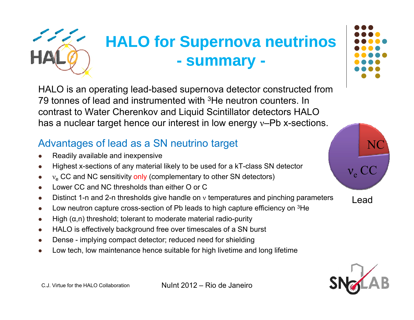

## **HALO for Supernova neutrinos - summary -**

HALO is an operating lead-based supernova detector constructed from 79 tonnes of lead and instrumented with <sup>3</sup>He neutron counters. In . .. . . . . . . . . . . . . . . . contrast to Water Cherenkov and Liquid Scintillator detectors HALO has a nuclear target hence our interest in low energy ν–Pb x-sections.

#### Advantages of lead as a SN neutrino target

- 0 Readily available and inexpensive
- 0 Highest x-sections of any material likely to be used for a kT-class SN detector
- 0 Highest x-sections of any material likely to be used for a KT-class SN detector<br> $v_e$  CC and NC sensitivity only (complementary to other SN detectors)
- $\bullet$ Lower CC and NC thresholds than either O or C
- $\bullet$  $\bullet$  Distinct 1-n and 2-n thresholds give handle on  $\upsilon$  temperatures and pinching parameters
- $\bullet$ Low neutron capture cross-section of Pb leads to high capture efficiency on <sup>3</sup>He
- $\bullet$  $\bullet$  High ( $\alpha$ ,n) threshold; tolerant to moderate material radio-purity
- $\bullet$ HALO is effectively background free over timescales of a SN burst
- 0 Dense - implying compact detector; reduced need for shielding
- $\bullet$ Low tech, low maintenance hence suitable for high livetime and long lifetime